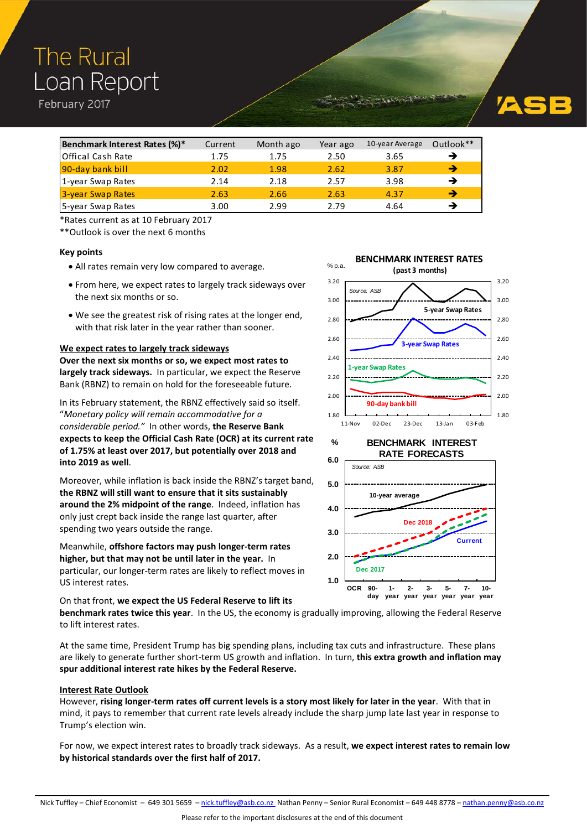# The Rural Loan Report February 2017



| Benchmark Interest Rates (%)* | Current | Month ago | Year ago | 10-year Average | Outlook** |
|-------------------------------|---------|-----------|----------|-----------------|-----------|
| <b>Offical Cash Rate</b>      | 1.75    | 1.75      | 2.50     | 3.65            | →         |
| 90-day bank bill              | 2.02    | 1.98      | 2.62     | 3.87            |           |
| 1-year Swap Rates             | 2.14    | 2.18      | 2.57     | 3.98            |           |
| 3-year Swap Rates             | 2.63    | 2.66      | 2.63     | 4.37            | →         |
| 5-year Swap Rates             | 3.00    | 2.99      | 2.79     | 4.64            |           |

\*Rates current as at 10 February 2017

\*\*Outlook is over the next 6 months

### **Key points**

- All rates remain very low compared to average.
- From here, we expect rates to largely track sideways over the next six months or so.
- We see the greatest risk of rising rates at the longer end, with that risk later in the year rather than sooner.

### **We expect rates to largely track sideways**

**Over the next six months or so, we expect most rates to largely track sideways.** In particular, we expect the Reserve Bank (RBNZ) to remain on hold for the foreseeable future.

In its February statement, the RBNZ effectively said so itself. "*Monetary policy will remain accommodative for a considerable period."* In other words, **the Reserve Bank expects to keep the Official Cash Rate (OCR) at its current rate of 1.75% at least over 2017, but potentially over 2018 and into 2019 as well**.

Moreover, while inflation is back inside the RBNZ's target band, **the RBNZ will still want to ensure that it sits sustainably around the 2% midpoint of the range**. Indeed, inflation has only just crept back inside the range last quarter, after spending two years outside the range.

Meanwhile, **offshore factors may push longer-term rates higher, but that may not be until later in the year.** In particular, our longer-term rates are likely to reflect moves in US interest rates.





On that front, **we expect the US Federal Reserve to lift its benchmark rates twice this year**. In the US, the economy is gradually improving, allowing the Federal Reserve to lift interest rates.

At the same time, President Trump has big spending plans, including tax cuts and infrastructure. These plans are likely to generate further short-term US growth and inflation. In turn, **this extra growth and inflation may spur additional interest rate hikes by the Federal Reserve.**

### **Interest Rate Outlook**

However, **rising longer-term rates off current levels is a story most likely for later in the year**. With that in mind, it pays to remember that current rate levels already include the sharp jump late last year in response to Trump's election win.

For now, we expect interest rates to broadly track sideways. As a result, **we expect interest rates to remain low by historical standards over the first half of 2017.**